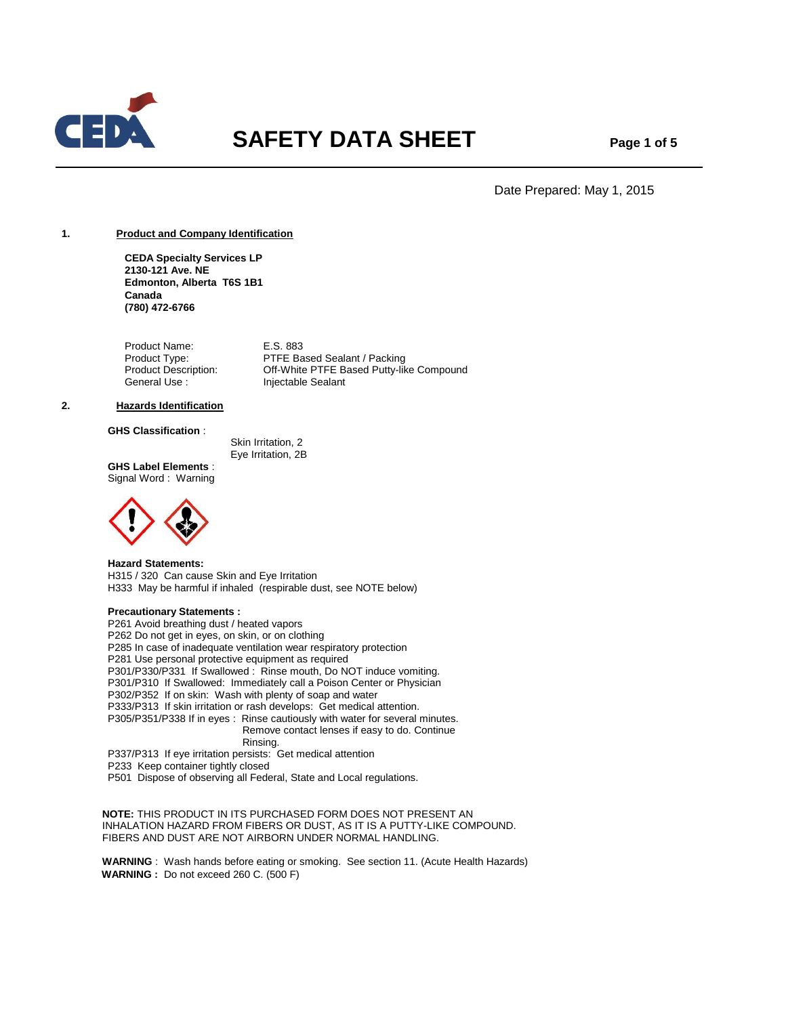

# **SAFETY DATA SHEET** Page 1 of 5

Date Prepared: May 1, 2015

# **1. Product and Company Identification**

**CEDA Specialty Services LP 2130-121 Ave. NE Edmonton, Alberta T6S 1B1 Canada (780) 472-6766**

Product Name: E.S. 883 Product Type: PTFE Based Sealant / Packing<br>Product Description: Off-White PTFE Based Putty-like Off-White PTFE Based Putty-like Compound General Use : Injectable Sealant

#### **2. Hazards Identification**

# **GHS Classification** :

 Skin Irritation, 2 Eye Irritation, 2B

**GHS Label Elements** : Signal Word : Warning



**Hazard Statements:** H315 / 320 Can cause Skin and Eye Irritation H333 May be harmful if inhaled (respirable dust, see NOTE below)

# **Precautionary Statements :**

P261 Avoid breathing dust / heated vapors P262 Do not get in eyes, on skin, or on clothing P285 In case of inadequate ventilation wear respiratory protection P281 Use personal protective equipment as required P301/P330/P331 If Swallowed : Rinse mouth, Do NOT induce vomiting. P301/P310 If Swallowed: Immediately call a Poison Center or Physician P302/P352 If on skin: Wash with plenty of soap and water P333/P313 If skin irritation or rash develops: Get medical attention. P305/P351/P338 If in eyes : Rinse cautiously with water for several minutes. Remove contact lenses if easy to do. Continue Rinsing. P337/P313 If eye irritation persists: Get medical attention

P233 Keep container tightly closed

P501 Dispose of observing all Federal, State and Local regulations.

 **NOTE:** THIS PRODUCT IN ITS PURCHASED FORM DOES NOT PRESENT AN INHALATION HAZARD FROM FIBERS OR DUST, AS IT IS A PUTTY-LIKE COMPOUND. FIBERS AND DUST ARE NOT AIRBORN UNDER NORMAL HANDLING.

 **WARNING** : Wash hands before eating or smoking. See section 11. (Acute Health Hazards) **WARNING :** Do not exceed 260 C. (500 F)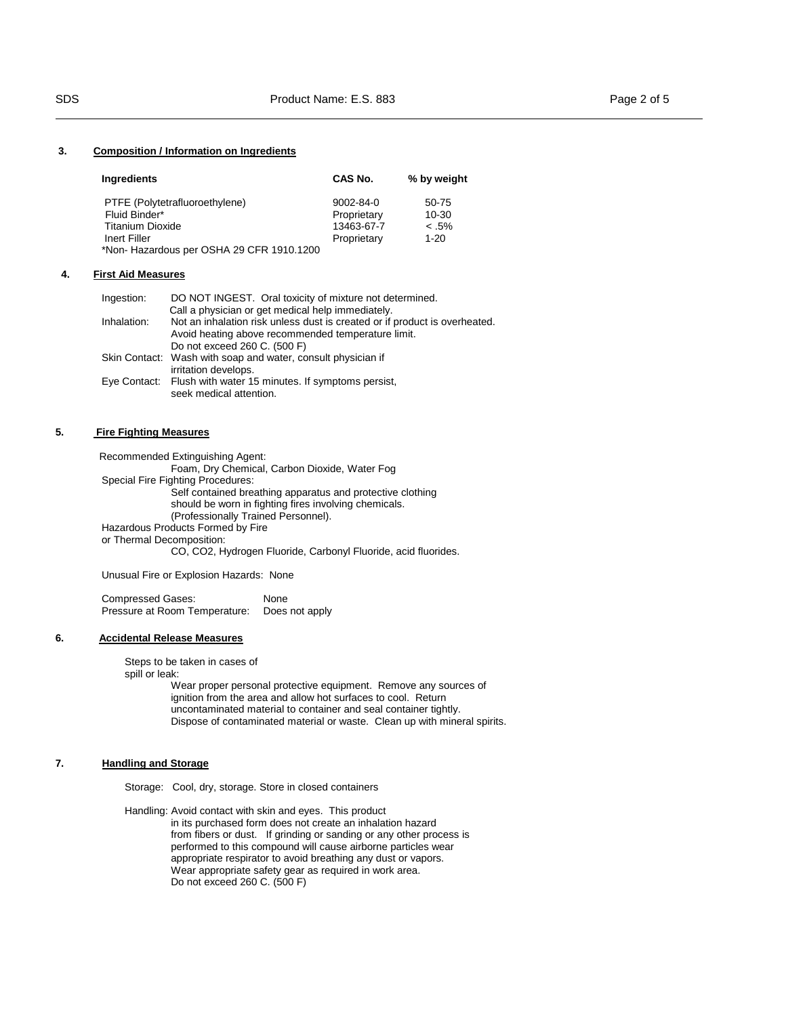#### **3. Composition / Information on Ingredients**

| Ingredients                              | CAS No.         | % by weight |
|------------------------------------------|-----------------|-------------|
| PTFE (Polytetrafluoroethylene)           | $9002 - 84 - 0$ | 50-75       |
| Fluid Binder*                            | Proprietary     | 10-30       |
| <b>Titanium Dioxide</b>                  | 13463-67-7      | $< .5\%$    |
| Inert Filler                             | Proprietary     | $1 - 20$    |
| *Non-Hazardous per OSHA 29 CFR 1910.1200 |                 |             |

#### **4. First Aid Measures**

| Ingestion:  | DO NOT INGEST. Oral toxicity of mixture not determined.                    |
|-------------|----------------------------------------------------------------------------|
|             | Call a physician or get medical help immediately.                          |
| Inhalation: | Not an inhalation risk unless dust is created or if product is overheated. |
|             | Avoid heating above recommended temperature limit.                         |
|             | Do not exceed 260 C. (500 F)                                               |
|             | Skin Contact: Wash with soap and water, consult physician if               |
|             | irritation develops.                                                       |
|             | Eye Contact: Flush with water 15 minutes. If symptoms persist,             |
|             | seek medical attention.                                                    |
|             |                                                                            |

#### 5. **5. Fire Fighting Measures**

 Recommended Extinguishing Agent: Foam, Dry Chemical, Carbon Dioxide, Water Fog Special Fire Fighting Procedures: Self contained breathing apparatus and protective clothing should be worn in fighting fires involving chemicals. (Professionally Trained Personnel). Hazardous Products Formed by Fire or Thermal Decomposition: CO, CO2, Hydrogen Fluoride, Carbonyl Fluoride, acid fluorides.

Unusual Fire or Explosion Hazards: None

Compressed Gases: None Pressure at Room Temperature: Does not apply

# **6. Accidental Release Measures**

Steps to be taken in cases of spill or leak:

 Wear proper personal protective equipment. Remove any sources of ignition from the area and allow hot surfaces to cool. Return uncontaminated material to container and seal container tightly. Dispose of contaminated material or waste. Clean up with mineral spirits.

# **7. Handling and Storage**

Storage: Cool, dry, storage. Store in closed containers

Handling: Avoid contact with skin and eyes. This product in its purchased form does not create an inhalation hazard from fibers or dust. If grinding or sanding or any other process is performed to this compound will cause airborne particles wear appropriate respirator to avoid breathing any dust or vapors. Wear appropriate safety gear as required in work area. Do not exceed 260 C. (500 F)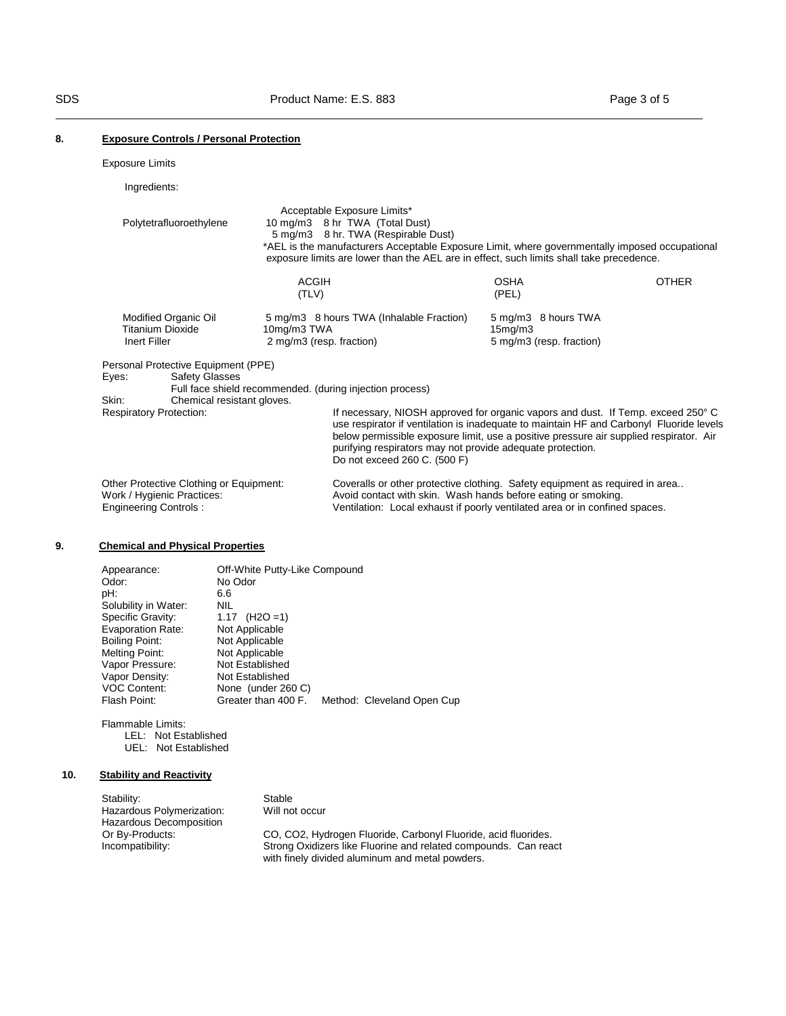# **8. Exposure Controls / Personal Protection**

Exposure Limits

Ingredients:

| Polytetrafluoroethylene                                                                                                                        |                                         | Acceptable Exposure Limits*<br>10 mg/m3 8 hr TWA (Total Dust)<br>5 mg/m3 8 hr. TWA (Respirable Dust)<br>*AEL is the manufacturers Acceptable Exposure Limit, where governmentally imposed occupational                                                                                                                                                                                                                          |                                                                         |              |
|------------------------------------------------------------------------------------------------------------------------------------------------|-----------------------------------------|---------------------------------------------------------------------------------------------------------------------------------------------------------------------------------------------------------------------------------------------------------------------------------------------------------------------------------------------------------------------------------------------------------------------------------|-------------------------------------------------------------------------|--------------|
|                                                                                                                                                | <b>ACGIH</b><br>(TLV)                   | exposure limits are lower than the AEL are in effect, such limits shall take precedence.                                                                                                                                                                                                                                                                                                                                        | <b>OSHA</b><br>(PEL)                                                    | <b>OTHER</b> |
| Modified Organic Oil<br><b>Titanium Dioxide</b><br>Inert Filler                                                                                | 10mg/m3 TWA<br>2 mg/m3 (resp. fraction) | 5 mg/m3 8 hours TWA (Inhalable Fraction)                                                                                                                                                                                                                                                                                                                                                                                        | 5 mg/m3 8 hours TWA<br>15 <sub>mq</sub> /m3<br>5 mg/m3 (resp. fraction) |              |
| Personal Protective Equipment (PPE)<br><b>Safety Glasses</b><br>Eyes:<br>Skin:<br>Chemical resistant gloves.<br><b>Respiratory Protection:</b> |                                         | Full face shield recommended. (during injection process)<br>If necessary, NIOSH approved for organic vapors and dust. If Temp. exceed 250° C<br>use respirator if ventilation is inadequate to maintain HF and Carbonyl Fluoride levels<br>below permissible exposure limit, use a positive pressure air supplied respirator. Air<br>purifying respirators may not provide adequate protection.<br>Do not exceed 260 C. (500 F) |                                                                         |              |
| Other Protective Clothing or Equipment:<br>Work / Hygienic Practices:<br><b>Engineering Controls:</b>                                          |                                         | Coveralls or other protective clothing. Safety equipment as required in area<br>Avoid contact with skin. Wash hands before eating or smoking.<br>Ventilation: Local exhaust if poorly ventilated area or in confined spaces.                                                                                                                                                                                                    |                                                                         |              |

# **9. Chemical and Physical Properties**

| Appearance:<br>Odor:<br>pH:<br>Solubility in Water:<br>Specific Gravity:<br><b>Evaporation Rate:</b><br>Boiling Point:<br>Melting Point:<br>Vapor Pressure:<br>Vapor Density:<br><b>VOC Content:</b><br>Flash Point: | Off-White Putty-Like Compound<br>No Odor<br>6.6<br><b>NIL</b><br>$(H2O = 1)$<br>1.17<br>Not Applicable<br>Not Applicable<br>Not Applicable<br>Not Established<br>Not Established<br>None (under 260 C)<br>Greater than 400 F. | Method: Cleveland Open Cup |
|----------------------------------------------------------------------------------------------------------------------------------------------------------------------------------------------------------------------|-------------------------------------------------------------------------------------------------------------------------------------------------------------------------------------------------------------------------------|----------------------------|
|                                                                                                                                                                                                                      |                                                                                                                                                                                                                               |                            |

Flammable Limits: LEL: Not Established UEL: Not Established

# **10. Stability and Reactivity**

| Stability:                | Stable                                                          |
|---------------------------|-----------------------------------------------------------------|
| Hazardous Polymerization: | Will not occur                                                  |
| Hazardous Decomposition   |                                                                 |
| Or By-Products:           | CO, CO2, Hydrogen Fluoride, Carbonyl Fluoride, acid fluorides.  |
| Incompatibility:          | Strong Oxidizers like Fluorine and related compounds. Can react |
|                           | with finely divided aluminum and metal powders.                 |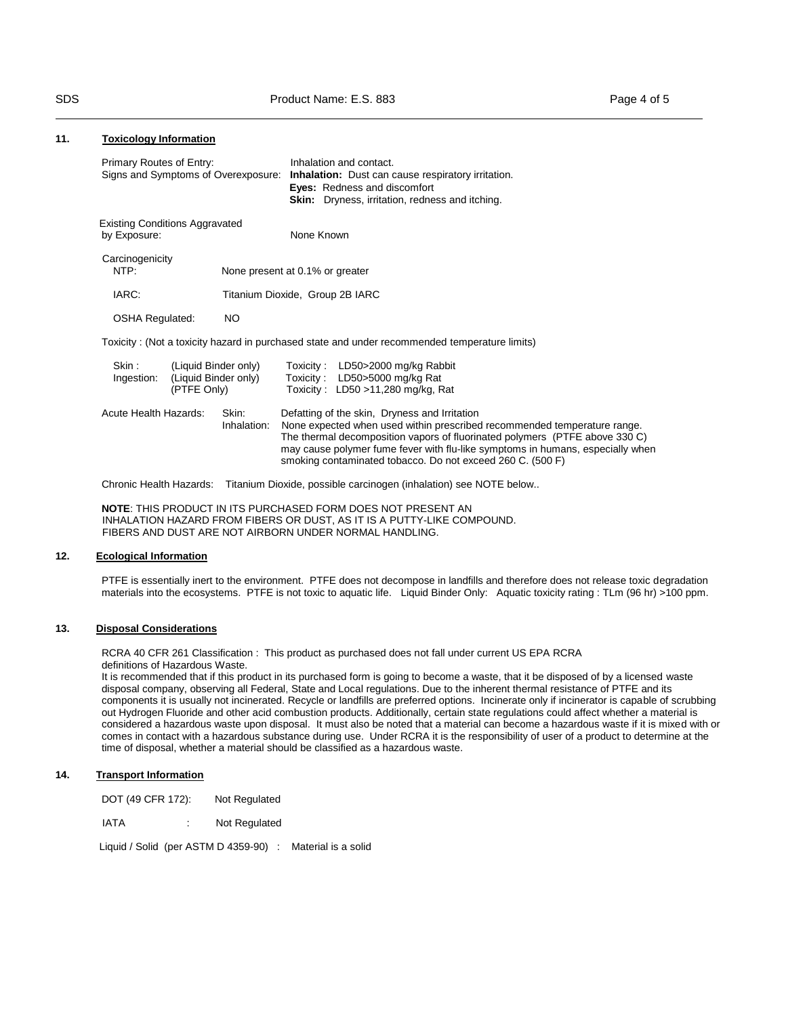# **11. Toxicology Information**

| Primary Routes of Entry:     | Signs and Symptoms of Overexposure:                         | Inhalation and contact.<br><b>Inhalation:</b> Dust can cause respiratory irritation.<br><b>Eyes:</b> Redness and discomfort<br><b>Skin:</b> Dryness, irritation, redness and itching.                                                                                                                                                                    |
|------------------------------|-------------------------------------------------------------|----------------------------------------------------------------------------------------------------------------------------------------------------------------------------------------------------------------------------------------------------------------------------------------------------------------------------------------------------------|
| by Exposure:                 | <b>Existing Conditions Aggravated</b>                       | None Known                                                                                                                                                                                                                                                                                                                                               |
| Carcinogenicity<br>NTP:      |                                                             | None present at 0.1% or greater                                                                                                                                                                                                                                                                                                                          |
| IARC:                        |                                                             | Titanium Dioxide, Group 2B IARC                                                                                                                                                                                                                                                                                                                          |
| <b>OSHA Regulated:</b>       | NO.                                                         |                                                                                                                                                                                                                                                                                                                                                          |
|                              |                                                             | Toxicity: (Not a toxicity hazard in purchased state and under recommended temperature limits)                                                                                                                                                                                                                                                            |
| Skin :<br>Ingestion:         | (Liquid Binder only)<br>(Liquid Binder only)<br>(PTFE Only) | Toxicity: LD50>2000 mg/kg Rabbit<br>Toxicity: LD50>5000 mg/kg Rat<br>Toxicity: $LD50 > 11,280$ mg/kg, Rat                                                                                                                                                                                                                                                |
| <b>Acute Health Hazards:</b> | Skin:<br>Inhalation:                                        | Defatting of the skin, Dryness and Irritation<br>None expected when used within prescribed recommended temperature range.<br>The thermal decomposition vapors of fluorinated polymers (PTFE above 330 C)<br>may cause polymer fume fever with flu-like symptoms in humans, especially when<br>smoking contaminated tobacco. Do not exceed 260 C. (500 F) |

Chronic Health Hazards: Titanium Dioxide, possible carcinogen (inhalation) see NOTE below..

**NOTE**: THIS PRODUCT IN ITS PURCHASED FORM DOES NOT PRESENT AN INHALATION HAZARD FROM FIBERS OR DUST, AS IT IS A PUTTY-LIKE COMPOUND. FIBERS AND DUST ARE NOT AIRBORN UNDER NORMAL HANDLING.

# **12. Ecological Information**

PTFE is essentially inert to the environment. PTFE does not decompose in landfills and therefore does not release toxic degradation materials into the ecosystems. PTFE is not toxic to aquatic life. Liquid Binder Only: Aquatic toxicity rating : TLm (96 hr) >100 ppm.

# **13. Disposal Considerations**

RCRA 40 CFR 261 Classification : This product as purchased does not fall under current US EPA RCRA definitions of Hazardous Waste.

It is recommended that if this product in its purchased form is going to become a waste, that it be disposed of by a licensed waste disposal company, observing all Federal, State and Local regulations. Due to the inherent thermal resistance of PTFE and its components it is usually not incinerated. Recycle or landfills are preferred options. Incinerate only if incinerator is capable of scrubbing out Hydrogen Fluoride and other acid combustion products. Additionally, certain state regulations could affect whether a material is considered a hazardous waste upon disposal. It must also be noted that a material can become a hazardous waste if it is mixed with or comes in contact with a hazardous substance during use. Under RCRA it is the responsibility of user of a product to determine at the time of disposal, whether a material should be classified as a hazardous waste.

# **14. Transport Information**

DOT (49 CFR 172): Not Regulated

IATA : Not Regulated

Liquid / Solid (per ASTM D 4359-90) : Material is a solid